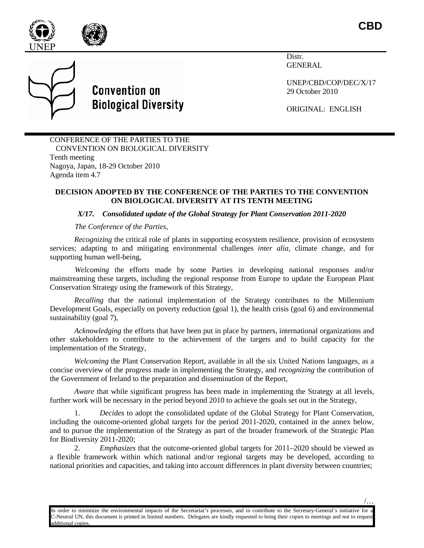

**CBD**

/…



**Convention on Biological Diversity** 

Distr. GENERAL

UNEP/CBD/COP/DEC/X/17 29 October 2010

ORIGINAL: ENGLISH

CONFERENCE OF THE PARTIES TO THE CONVENTION ON BIOLOGICAL DIVERSITY Tenth meeting Nagoya, Japan, 18-29 October 2010 Agenda item 4.7

## **DECISION ADOPTED BY THE CONFERENCE OF THE PARTIES TO THE CONVENTION ON BIOLOGICAL DIVERSITY AT ITS TENTH MEETING**

*X/17. Consolidated update of the Global Strategy for Plant Conservation 2011-2020*

*The Conference of the Parties,*

*Recognizing* the critical role of plants in supporting ecosystem resilience, provision of ecosystem services; adapting to and mitigating environmental challenges *inter alia*, climate change, and for supporting human well-being,

*Welcoming* the efforts made by some Parties in developing national responses and/or mainstreaming these targets, including the regional response from Europe to update the European Plant Conservation Strategy using the framework of this Strategy,

*Recalling* that the national implementation of the Strategy contributes to the Millennium Development Goals, especially on poverty reduction (goal 1), the health crisis (goal 6) and environmental sustainability (goal 7),

*Acknowledging* the efforts that have been put in place by partners, international organizations and other stakeholders to contribute to the achievement of the targets and to build capacity for the implementation of the Strategy,

*Welcoming* the Plant Conservation Report, available in all the six United Nations languages, as a concise overview of the progress made in implementing the Strategy, and *recognizing* the contribution of the Government of Ireland to the preparation and dissemination of the Report,

*Aware* that while significant progress has been made in implementing the Strategy at all levels, further work will be necessary in the period beyond 2010 to achieve the goals set out in the Strategy,

1. *Decides* to adopt the consolidated update of the Global Strategy for Plant Conservation, including the outcome-oriented global targets for the period 2011-2020, contained in the annex below, and to pursue the implementation of the Strategy as part of the broader framework of the Strategic Plan for Biodiversity 2011-2020;

2. *Emphasizes* that the outcome-oriented global targets for 2011–2020 should be viewed as a flexible framework within which national and/or regional targets may be developed, according to national priorities and capacities, and taking into account differences in plant diversity between countries;

In order to minimize the environmental impacts of the Secretariat's processes, and to contribute to the Secretary-General's initiative for a C-Neutral UN, this document is printed in limited numbers. Delegates are kindly requested to bring their copies to meetings and not to request additional copies.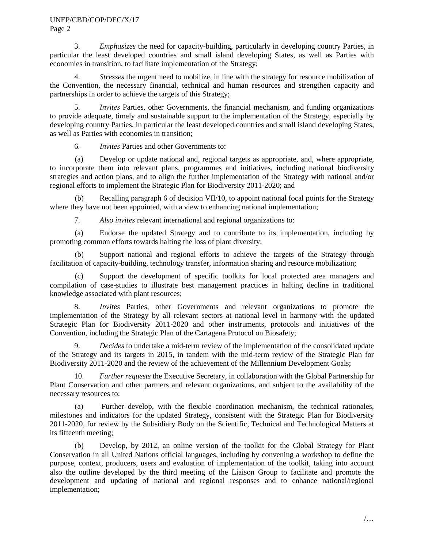### UNEP/CBD/COP/DEC/X/17 Page 2

3. *Emphasizes* the need for capacity-building, particularly in developing country Parties, in particular the least developed countries and small island developing States, as well as Parties with economies in transition, to facilitate implementation of the Strategy;

4. *Stresses* the urgent need to mobilize, in line with the strategy for resource mobilization of the Convention, the necessary financial, technical and human resources and strengthen capacity and partnerships in order to achieve the targets of this Strategy;

5. *Invites* Parties, other Governments, the financial mechanism, and funding organizations to provide adequate, timely and sustainable support to the implementation of the Strategy, especially by developing country Parties, in particular the least developed countries and small island developing States, as well as Parties with economies in transition;

6*. Invites* Parties and other Governments to:

(a) Develop or update national and, regional targets as appropriate, and, where appropriate, to incorporate them into relevant plans, programmes and initiatives, including national biodiversity strategies and action plans, and to align the further implementation of the Strategy with national and/or regional efforts to implement the Strategic Plan for Biodiversity 2011-2020; and

(b) Recalling paragraph 6 of decision VII/10, to appoint national focal points for the Strategy where they have not been appointed, with a view to enhancing national implementation;

7. *Also invites* relevant international and regional organizations to:

(a) Endorse the updated Strategy and to contribute to its implementation, including by promoting common efforts towards halting the loss of plant diversity;

(b) Support national and regional efforts to achieve the targets of the Strategy through facilitation of capacity-building, technology transfer, information sharing and resource mobilization;

(c) Support the development of specific toolkits for local protected area managers and compilation of case-studies to illustrate best management practices in halting decline in traditional knowledge associated with plant resources;

8. *Invites* Parties, other Governments and relevant organizations to promote the implementation of the Strategy by all relevant sectors at national level in harmony with the updated Strategic Plan for Biodiversity 2011-2020 and other instruments, protocols and initiatives of the Convention, including the Strategic Plan of the Cartagena Protocol on Biosafety;

9. *Decides* to undertake a mid-term review of the implementation of the consolidated update of the Strategy and its targets in 2015, in tandem with the mid-term review of the Strategic Plan for Biodiversity 2011-2020 and the review of the achievement of the Millennium Development Goals;

10. *Further requests* the Executive Secretary, in collaboration with the Global Partnership for Plant Conservation and other partners and relevant organizations, and subject to the availability of the necessary resources to:

(a) Further develop, with the flexible coordination mechanism, the technical rationales, milestones and indicators for the updated Strategy, consistent with the Strategic Plan for Biodiversity 2011-2020, for review by the Subsidiary Body on the Scientific, Technical and Technological Matters at its fifteenth meeting;

(b) Develop, by 2012, an online version of the toolkit for the Global Strategy for Plant Conservation in all United Nations official languages, including by convening a workshop to define the purpose, context, producers, users and evaluation of implementation of the toolkit, taking into account also the outline developed by the third meeting of the Liaison Group to facilitate and promote the development and updating of national and regional responses and to enhance national/regional implementation;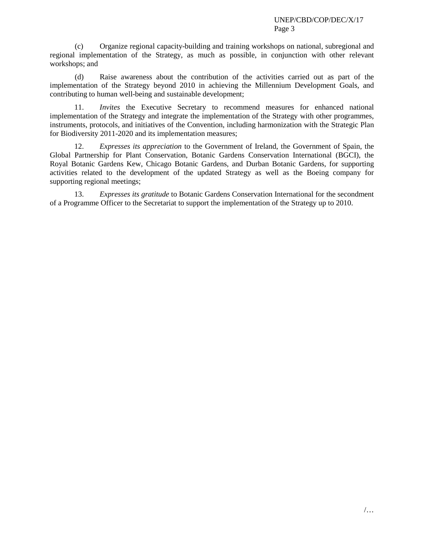(c) Organize regional capacity-building and training workshops on national, subregional and regional implementation of the Strategy, as much as possible, in conjunction with other relevant workshops; and

(d) Raise awareness about the contribution of the activities carried out as part of the implementation of the Strategy beyond 2010 in achieving the Millennium Development Goals, and contributing to human well-being and sustainable development;

11. *Invites* the Executive Secretary to recommend measures for enhanced national implementation of the Strategy and integrate the implementation of the Strategy with other programmes, instruments, protocols, and initiatives of the Convention, including harmonization with the Strategic Plan for Biodiversity 2011-2020 and its implementation measures;

12. *Expresses its appreciation* to the Government of Ireland, the Government of Spain, the Global Partnership for Plant Conservation, Botanic Gardens Conservation International (BGCI), the Royal Botanic Gardens Kew, Chicago Botanic Gardens, and Durban Botanic Gardens, for supporting activities related to the development of the updated Strategy as well as the Boeing company for supporting regional meetings;

13. *Expresses its gratitude* to Botanic Gardens Conservation International for the secondment of a Programme Officer to the Secretariat to support the implementation of the Strategy up to 2010.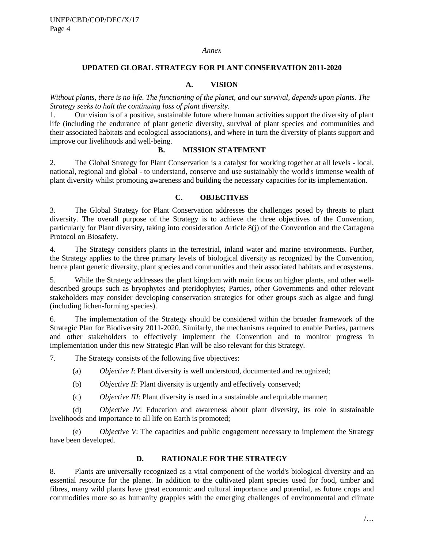#### *Annex*

### **UPDATED GLOBAL STRATEGY FOR PLANT CONSERVATION 2011-2020**

### **A. VISION**

*Without plants, there is no life. The functioning of the planet, and our survival, depends upon plants. The Strategy seeks to halt the continuing loss of plant diversity.*

1. Our vision is of a positive, sustainable future where human activities support the diversity of plant life (including the endurance of plant genetic diversity, survival of plant species and communities and their associated habitats and ecological associations), and where in turn the diversity of plants support and improve our livelihoods and well-being.

### **B. MISSION STATEMENT**

2. The Global Strategy for Plant Conservation is a catalyst for working together at all levels - local, national, regional and global - to understand, conserve and use sustainably the world's immense wealth of plant diversity whilst promoting awareness and building the necessary capacities for its implementation.

### **C. OBJECTIVES**

3. The Global Strategy for Plant Conservation addresses the challenges posed by threats to plant diversity. The overall purpose of the Strategy is to achieve the three objectives of the Convention, particularly for Plant diversity, taking into consideration Article 8(j) of the Convention and the Cartagena Protocol on Biosafety.

4. The Strategy considers plants in the terrestrial, inland water and marine environments. Further, the Strategy applies to the three primary levels of biological diversity as recognized by the Convention, hence plant genetic diversity, plant species and communities and their associated habitats and ecosystems.

5. While the Strategy addresses the plant kingdom with main focus on higher plants, and other welldescribed groups such as bryophytes and pteridophytes; Parties, other Governments and other relevant stakeholders may consider developing conservation strategies for other groups such as algae and fungi (including lichen-forming species).

6. The implementation of the Strategy should be considered within the broader framework of the Strategic Plan for Biodiversity 2011-2020. Similarly, the mechanisms required to enable Parties, partners and other stakeholders to effectively implement the Convention and to monitor progress in implementation under this new Strategic Plan will be also relevant for this Strategy.

7. The Strategy consists of the following five objectives:

- (a) *Objective I*: Plant diversity is well understood, documented and recognized;
- (b) *Objective II*: Plant diversity is urgently and effectively conserved;
- (c) *Objective III*: Plant diversity is used in a sustainable and equitable manner;

(d) *Objective IV*: Education and awareness about plant diversity, its role in sustainable livelihoods and importance to all life on Earth is promoted;

(e) *Objective V*: The capacities and public engagement necessary to implement the Strategy have been developed.

### **D. RATIONALE FOR THE STRATEGY**

8. Plants are universally recognized as a vital component of the world's biological diversity and an essential resource for the planet. In addition to the cultivated plant species used for food, timber and fibres, many wild plants have great economic and cultural importance and potential, as future crops and commodities more so as humanity grapples with the emerging challenges of environmental and climate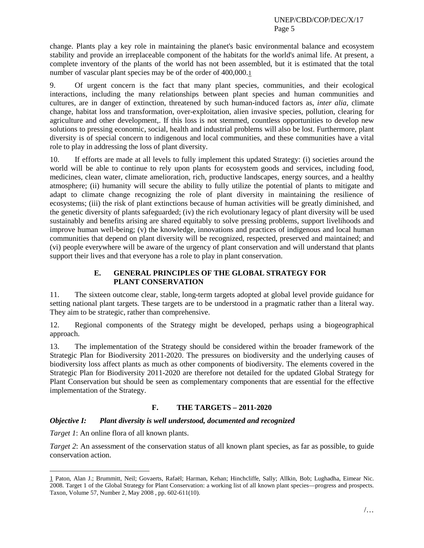change. Plants play a key role in maintaining the planet's basic environmental balance and ecosystem stability and provide an irreplaceable component of the habitats for the world's animal life. At present, a complete inventory of the plants of the world has not been assembled, but it is estimated that the total number of vascular plant species may be of the order of 400,000.[1](#page-4-0)

9. Of urgent concern is the fact that many plant species, communities, and their ecological interactions, including the many relationships between plant species and human communities and cultures, are in danger of extinction, threatened by such human-induced factors as, *inter alia,* climate change, habitat loss and transformation, over-exploitation, alien invasive species, pollution, clearing for agriculture and other development,. If this loss is not stemmed, countless opportunities to develop new solutions to pressing economic, social, health and industrial problems will also be lost. Furthermore, plant diversity is of special concern to indigenous and local communities, and these communities have a vital role to play in addressing the loss of plant diversity.

10. If efforts are made at all levels to fully implement this updated Strategy: (i) societies around the world will be able to continue to rely upon plants for ecosystem goods and services, including food, medicines, clean water, climate amelioration, rich, productive landscapes, energy sources, and a healthy atmosphere; (ii) humanity will secure the ability to fully utilize the potential of plants to mitigate and adapt to climate change recognizing the role of plant diversity in maintaining the resilience of ecosystems; (iii) the risk of plant extinctions because of human activities will be greatly diminished, and the genetic diversity of plants safeguarded; (iv) the rich evolutionary legacy of plant diversity will be used sustainably and benefits arising are shared equitably to solve pressing problems, support livelihoods and improve human well-being; (v) the knowledge, innovations and practices of indigenous and local human communities that depend on plant diversity will be recognized, respected, preserved and maintained; and (vi) people everywhere will be aware of the urgency of plant conservation and will understand that plants support their lives and that everyone has a role to play in plant conservation.

# **E. GENERAL PRINCIPLES OF THE GLOBAL STRATEGY FOR PLANT CONSERVATION**

11. The sixteen outcome clear, stable, long-term targets adopted at global level provide guidance for setting national plant targets. These targets are to be understood in a pragmatic rather than a literal way. They aim to be strategic, rather than comprehensive.

12. Regional components of the Strategy might be developed, perhaps using a biogeographical approach.

13. The implementation of the Strategy should be considered within the broader framework of the Strategic Plan for Biodiversity 2011-2020. The pressures on biodiversity and the underlying causes of biodiversity loss affect plants as much as other components of biodiversity. The elements covered in the Strategic Plan for Biodiversity 2011-2020 are therefore not detailed for the updated Global Strategy for Plant Conservation but should be seen as complementary components that are essential for the effective implementation of the Strategy.

# **F. THE TARGETS – 2011-2020**

# *Objective I: Plant diversity is well understood, documented and recognized*

*Target 1*: An online flora of all known plants.

*Target 2*: An assessment of the conservation status of all known plant species, as far as possible, to guide conservation action.

<span id="page-4-0"></span> <sup>1</sup> Paton, Alan J.; Brummitt, Neil; Govaerts, Rafaël; Harman, Kehan; Hinchcliffe, Sally; Allkin, Bob; Lughadha, Eimear Nic. 2008. Target 1 of the Global Strategy for Plant Conservation: a working list of all known plant species—progress and prospects. Taxon, Volume 57, Number 2, May 2008 , pp. 602-611(10).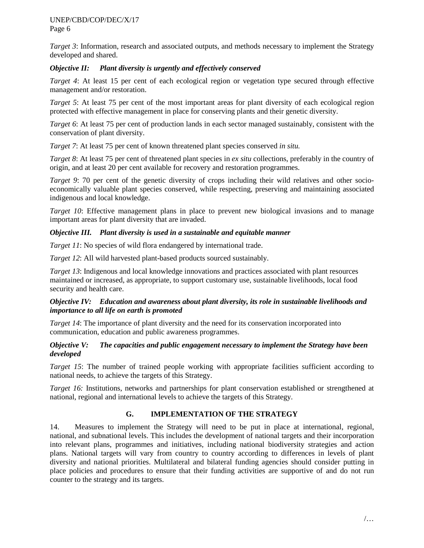UNEP/CBD/COP/DEC/X/17 Page 6

*Target 3*: Information, research and associated outputs, and methods necessary to implement the Strategy developed and shared.

## *Objective II: Plant diversity is urgently and effectively conserved*

*Target 4*: At least 15 per cent of each ecological region or vegetation type secured through effective management and/or restoration.

*Target 5*: At least 75 per cent of the most important areas for plant diversity of each ecological region protected with effective management in place for conserving plants and their genetic diversity.

*Target 6*: At least 75 per cent of production lands in each sector managed sustainably, consistent with the conservation of plant diversity.

*Target 7*: At least 75 per cent of known threatened plant species conserved *in situ.*

*Target 8*: At least 75 per cent of threatened plant species in *ex situ* collections, preferably in the country of origin, and at least 20 per cent available for recovery and restoration programmes.

*Target 9*: 70 per cent of the genetic diversity of crops including their wild relatives and other socioeconomically valuable plant species conserved, while respecting, preserving and maintaining associated indigenous and local knowledge.

*Target 10*: Effective management plans in place to prevent new biological invasions and to manage important areas for plant diversity that are invaded.

## *Objective III. Plant diversity is used in a sustainable and equitable manner*

*Target 11*: No species of wild flora endangered by international trade.

*Target 12*: All wild harvested plant-based products sourced sustainably.

*Target 13*: Indigenous and local knowledge innovations and practices associated with plant resources maintained or increased, as appropriate, to support customary use, sustainable livelihoods, local food security and health care.

## *Objective IV: Education and awareness about plant diversity, its role in sustainable livelihoods and importance to all life on earth is promoted*

*Target 14*: The importance of plant diversity and the need for its conservation incorporated into communication, education and public awareness programmes.

## *Objective V: The capacities and public engagement necessary to implement the Strategy have been developed*

*Target 15*: The number of trained people working with appropriate facilities sufficient according to national needs, to achieve the targets of this Strategy.

*Target 16:* Institutions, networks and partnerships for plant conservation established or strengthened at national, regional and international levels to achieve the targets of this Strategy.

## **G. IMPLEMENTATION OF THE STRATEGY**

14. Measures to implement the Strategy will need to be put in place at international, regional, national, and subnational levels. This includes the development of national targets and their incorporation into relevant plans, programmes and initiatives, including national biodiversity strategies and action plans. National targets will vary from country to country according to differences in levels of plant diversity and national priorities. Multilateral and bilateral funding agencies should consider putting in place policies and procedures to ensure that their funding activities are supportive of and do not run counter to the strategy and its targets.